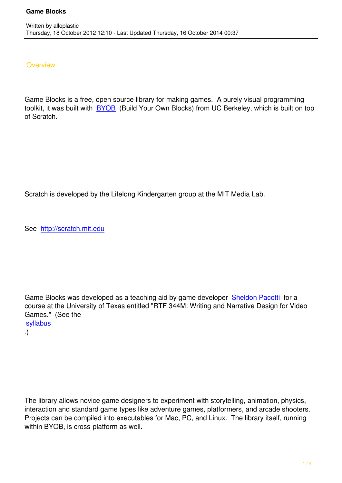## **Overview**

Game Blocks is a free, open source library for making games. A purely visual programming toolkit, it was built with BYOB (Build Your Own Blocks) from UC Berkeley, which is built on top of Scratch.

Scratch is developed by the Lifelong Kindergarten group at the MIT Media Lab.

See http://scratch.mit.edu

Game Blocks was developed as a teaching aid by game developer Sheldon Pacotti for a course at the University of Texas entitled "RTF 344M: Writing and Narrative Design for Video Games." (See the syllabus

.)

The library allows novice game designers to experiment with storytelling, animation, physics, interaction and standard game types like adventure games, platformers, and arcade shooters. Projects can be compiled into executables for Mac, PC, and Linux. The library itself, running within BYOB, is cross-platform as well.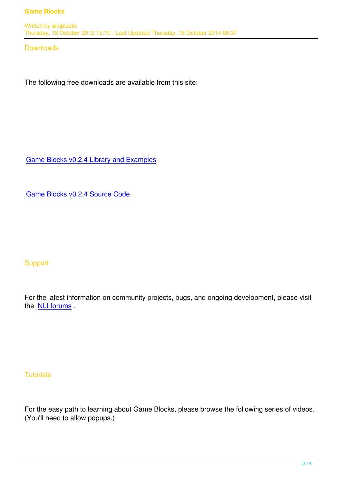Thursday, 18 October 2012 12:10 - Last Updated Thursday, 16 October 2014 00:37

**Downloads** 

The following free downloads are available from this site:

Game Blocks v0.2.4 Library and Examples

[Game Blocks v0.2.4 Source Code](../technologies/gameblocks/GameBlocks_v0.2.4.zip)

**Support** 

For the latest information on community projects, bugs, and ongoing development, please visit the **NLI** forums.

**Tutorials** 

For the easy path to learning about Game Blocks, please browse the following series of videos. (You'll need to allow popups.)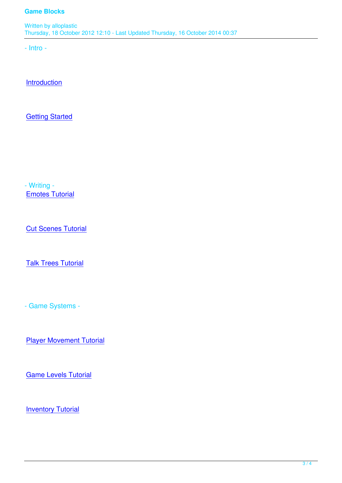Written by allowing the state of the state of the state of the state of the state of the state of the state of Thursday, 18 October 2012 12:10 - Last Updated Thursday, 16 October 2014 00:37

- Intro -

**Introduction** 

**[Getting Star](http://www.youtube.com/watch?v=aEbJ6DEz1PA)ted** 

- Writing - Emotes Tutorial

**[Cut Scenes Tuto](http://www.youtube.com/watch?v=zQ0L8_oxcbo)rial** 

**[Talk Trees Tutorial](http://www.youtube.com/watch?v=M29rLAaF40U)** 

- Game Systems -

Player Movement Tutorial

**[Game Levels Tutorial](http://www.youtube.com/watch?v=rlNdt4D0SD4)** 

**[Inventory Tutorial](http://www.youtube.com/watch?v=3zHcm-d2uvU)**